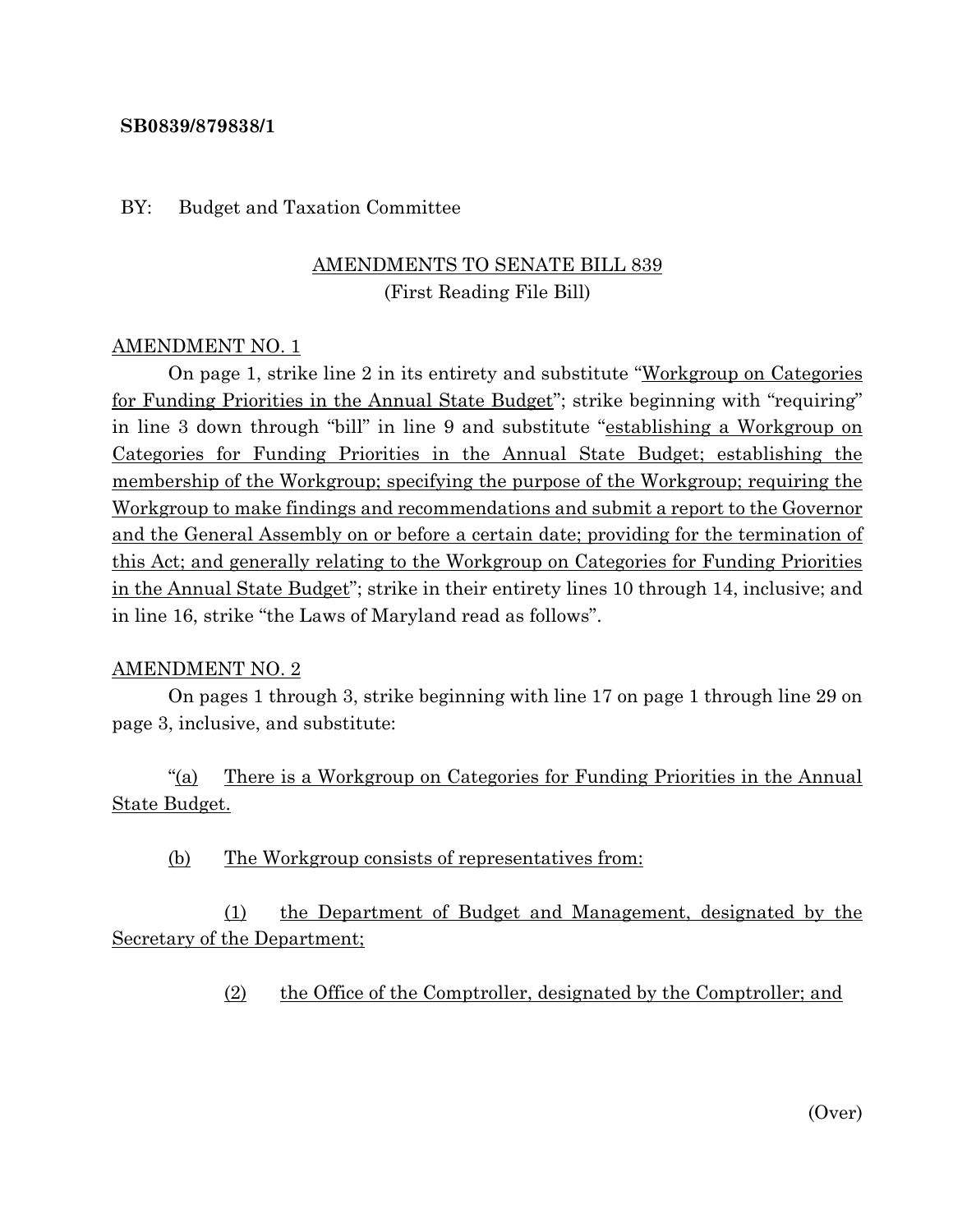#### **SB0839/879838/1**

#### BY: Budget and Taxation Committee

## AMENDMENTS TO SENATE BILL 839 (First Reading File Bill)

#### AMENDMENT NO. 1

On page 1, strike line 2 in its entirety and substitute "Workgroup on Categories for Funding Priorities in the Annual State Budget"; strike beginning with "requiring" in line 3 down through "bill" in line 9 and substitute "establishing a Workgroup on Categories for Funding Priorities in the Annual State Budget; establishing the membership of the Workgroup; specifying the purpose of the Workgroup; requiring the Workgroup to make findings and recommendations and submit a report to the Governor and the General Assembly on or before a certain date; providing for the termination of this Act; and generally relating to the Workgroup on Categories for Funding Priorities in the Annual State Budget"; strike in their entirety lines 10 through 14, inclusive; and in line 16, strike "the Laws of Maryland read as follows".

#### AMENDMENT NO. 2

On pages 1 through 3, strike beginning with line 17 on page 1 through line 29 on page 3, inclusive, and substitute:

"(a) There is a Workgroup on Categories for Funding Priorities in the Annual State Budget.

(b) The Workgroup consists of representatives from:

(1) the Department of Budget and Management, designated by the Secretary of the Department;

(2) the Office of the Comptroller, designated by the Comptroller; and